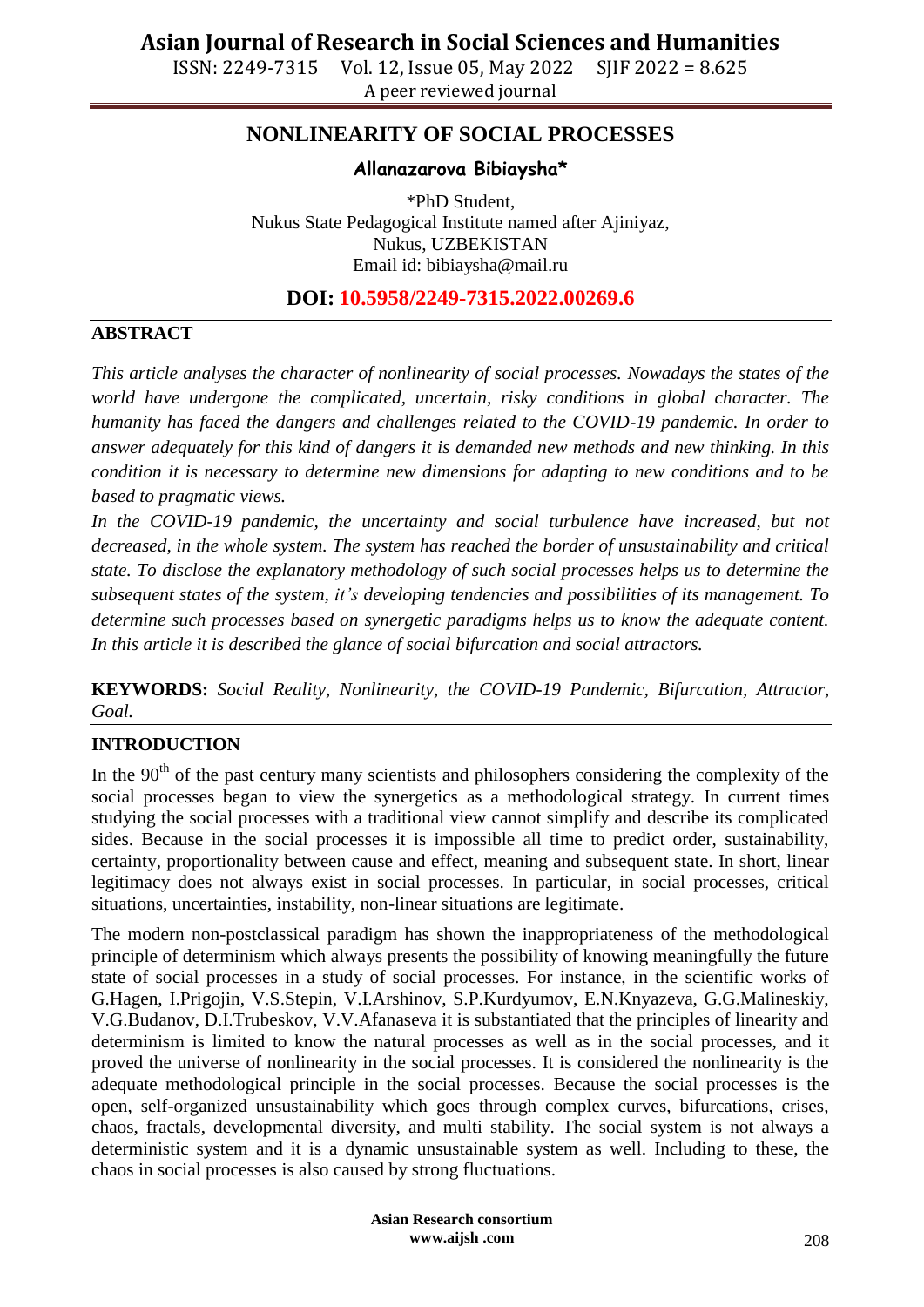ISSN: 2249-7315 Vol. 12, Issue 05, May 2022 SJIF 2022 = 8.625 A peer reviewed journal

## **NONLINEARITY OF SOCIAL PROCESSES**

#### **Allanazarova Bibiaysha\***

\*PhD Student, Nukus State Pedagogical Institute named after Ajiniyaz, Nukus, UZBEKISTAN Email id: [bibiaysha@mail.ru](mailto:bibiaysha@mail.ru)

### **DOI: 10.5958/2249-7315.2022.00269.6**

#### **ABSTRACT**

*This article analyses the character of nonlinearity of social processes. Nowadays the states of the world have undergone the complicated, uncertain, risky conditions in global character. The humanity has faced the dangers and challenges related to the COVID-19 pandemic. In order to answer adequately for this kind of dangers it is demanded new methods and new thinking. In this condition it is necessary to determine new dimensions for adapting to new conditions and to be based to pragmatic views.* 

In the COVID-19 pandemic, the uncertainty and social turbulence have increased, but not *decreased, in the whole system. The system has reached the border of unsustainability and critical state. To disclose the explanatory methodology of such social processes helps us to determine the subsequent states of the system, it's developing tendencies and possibilities of its management. To determine such processes based on synergetic paradigms helps us to know the adequate content. In this article it is described the glance of social bifurcation and social attractors.* 

**KEYWORDS:** *Social Reality, Nonlinearity, the COVID-19 Pandemic, Bifurcation, Attractor, Goal.*

#### **INTRODUCTION**

In the  $90<sup>th</sup>$  of the past century many scientists and philosophers considering the complexity of the social processes began to view the synergetics as a methodological strategy. In current times studying the social processes with a traditional view cannot simplify and describe its complicated sides. Because in the social processes it is impossible all time to predict order, sustainability, certainty, proportionality between cause and effect, meaning and subsequent state. In short, linear legitimacy does not always exist in social processes. In particular, in social processes, critical situations, uncertainties, instability, non-linear situations are legitimate.

The modern non-postclassical paradigm has shown the inappropriateness of the methodological principle of determinism which always presents the possibility of knowing meaningfully the future state of social processes in a study of social processes. For instance, in the scientific works of G.Hagen, I.Prigojin, V.S.Stepin, V.I.Arshinov, S.P.Kurdyumov, E.N.Knyazeva, G.G.Malineskiy, V.G.Budanov, D.I.Trubeskov, V.V.Afanaseva it is substantiated that the principles of linearity and determinism is limited to know the natural processes as well as in the social processes, and it proved the universe of nonlinearity in the social processes. It is considered the nonlinearity is the adequate methodological principle in the social processes. Because the social processes is the open, self-organized unsustainability which goes through complex curves, bifurcations, crises, chaos, fractals, developmental diversity, and multi stability. The social system is not always a deterministic system and it is a dynamic unsustainable system as well. Including to these, the chaos in social processes is also caused by strong fluctuations.

> **Asian Research consortium www.aijsh .com**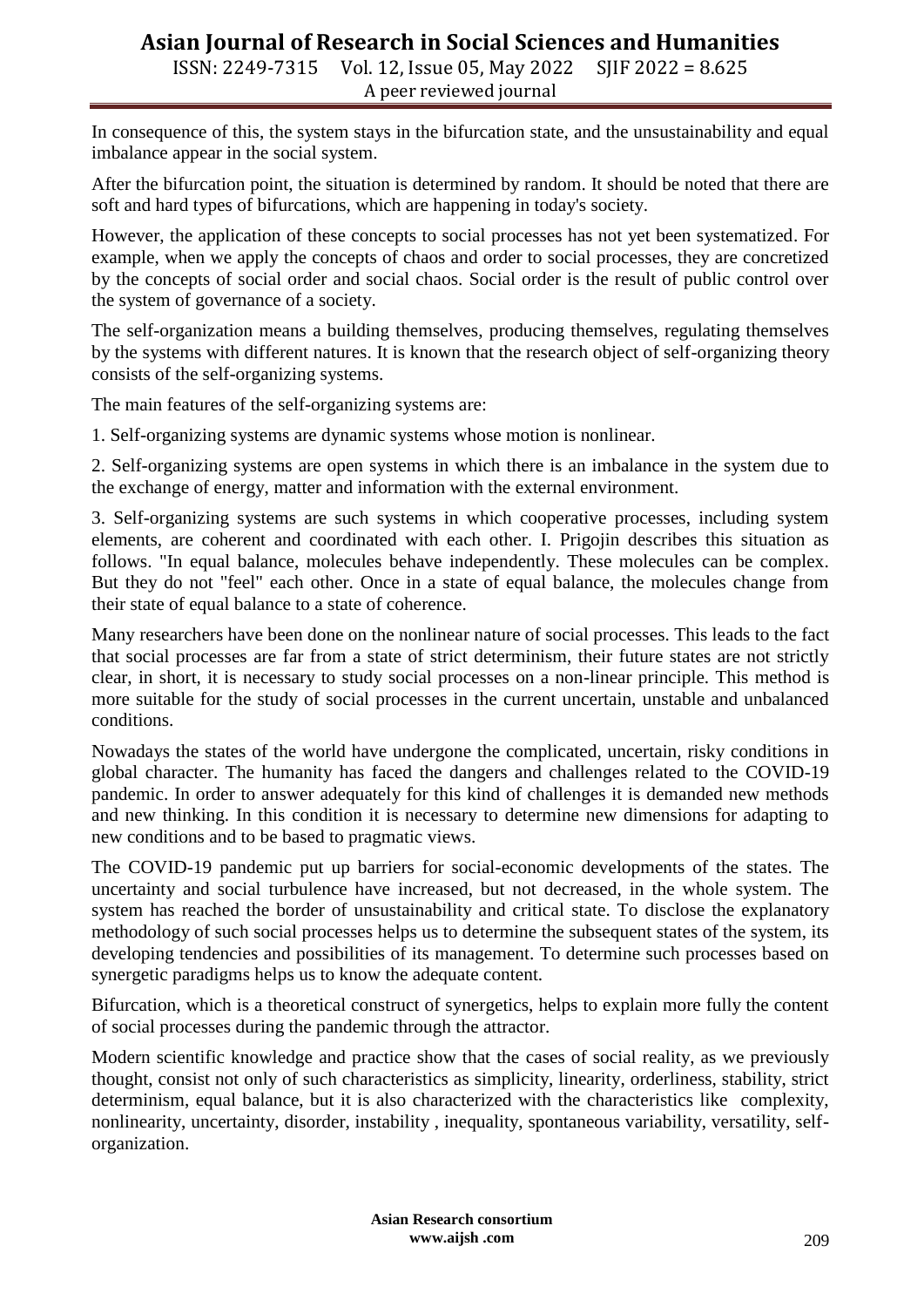## **Asian Journal of Research in Social Sciences and Humanities**

ISSN: 2249-7315 Vol. 12, Issue 05, May 2022 SJIF 2022 = 8.625 A peer reviewed journal

In consequence of this, the system stays in the bifurcation state, and the unsustainability and equal imbalance appear in the social system.

After the bifurcation point, the situation is determined by random. It should be noted that there are soft and hard types of bifurcations, which are happening in today's society.

However, the application of these concepts to social processes has not yet been systematized. For example, when we apply the concepts of chaos and order to social processes, they are concretized by the concepts of social order and social chaos. Social order is the result of public control over the system of governance of a society.

The self-organization means a building themselves, producing themselves, regulating themselves by the systems with different natures. It is known that the research object of self-organizing theory consists of the self-organizing systems.

The main features of the self-organizing systems are:

1. Self-organizing systems are dynamic systems whose motion is nonlinear.

2. Self-organizing systems are open systems in which there is an imbalance in the system due to the exchange of energy, matter and information with the external environment.

3. Self-organizing systems are such systems in which cooperative processes, including system elements, are coherent and coordinated with each other. I. Prigojin describes this situation as follows. "In equal balance, molecules behave independently. These molecules can be complex. But they do not "feel" each other. Once in a state of equal balance, the molecules change from their state of equal balance to a state of coherence.

Many researchers have been done on the nonlinear nature of social processes. This leads to the fact that social processes are far from a state of strict determinism, their future states are not strictly clear, in short, it is necessary to study social processes on a non-linear principle. This method is more suitable for the study of social processes in the current uncertain, unstable and unbalanced conditions.

Nowadays the states of the world have undergone the complicated, uncertain, risky conditions in global character. The humanity has faced the dangers and challenges related to the COVID-19 pandemic. In order to answer adequately for this kind of challenges it is demanded new methods and new thinking. In this condition it is necessary to determine new dimensions for adapting to new conditions and to be based to pragmatic views.

The COVID-19 pandemic put up barriers for social-economic developments of the states. The uncertainty and social turbulence have increased, but not decreased, in the whole system. The system has reached the border of unsustainability and critical state. To disclose the explanatory methodology of such social processes helps us to determine the subsequent states of the system, its developing tendencies and possibilities of its management. To determine such processes based on synergetic paradigms helps us to know the adequate content.

Bifurcation, which is a theoretical construct of synergetics, helps to explain more fully the content of social processes during the pandemic through the attractor.

Modern scientific knowledge and practice show that the cases of social reality, as we previously thought, consist not only of such characteristics as simplicity, linearity, orderliness, stability, strict determinism, equal balance, but it is also characterized with the characteristics like complexity, nonlinearity, uncertainty, disorder, instability , inequality, spontaneous variability, versatility, selforganization.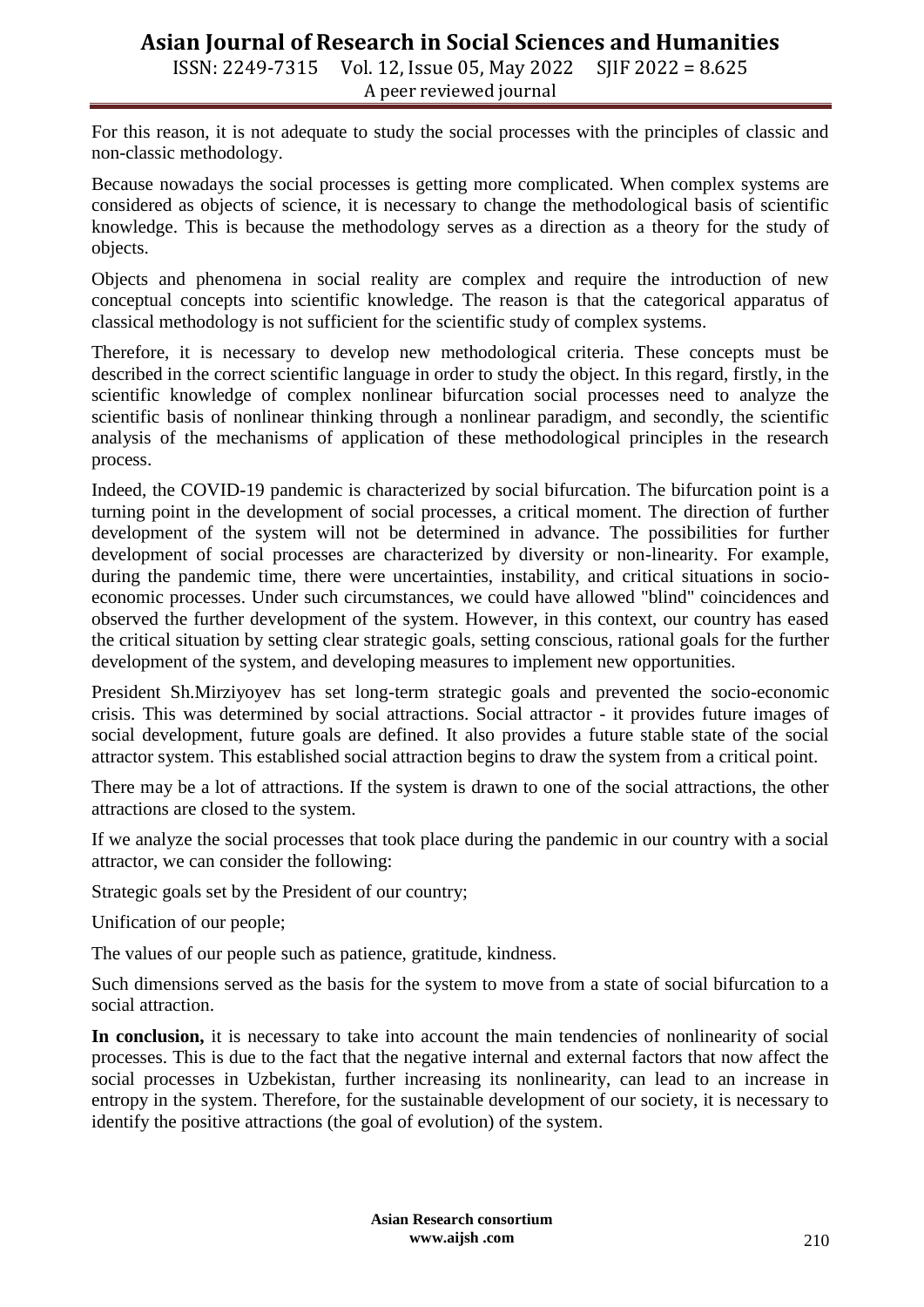# **Asian Journal of Research in Social Sciences and Humanities**

ISSN: 2249-7315 Vol. 12, Issue 05, May 2022 SJIF 2022 = 8.625 A peer reviewed journal

For this reason, it is not adequate to study the social processes with the principles of classic and non-classic methodology.

Because nowadays the social processes is getting more complicated. When complex systems are considered as objects of science, it is necessary to change the methodological basis of scientific knowledge. This is because the methodology serves as a direction as a theory for the study of objects.

Objects and phenomena in social reality are complex and require the introduction of new conceptual concepts into scientific knowledge. The reason is that the categorical apparatus of classical methodology is not sufficient for the scientific study of complex systems.

Therefore, it is necessary to develop new methodological criteria. These concepts must be described in the correct scientific language in order to study the object. In this regard, firstly, in the scientific knowledge of complex nonlinear bifurcation social processes need to analyze the scientific basis of nonlinear thinking through a nonlinear paradigm, and secondly, the scientific analysis of the mechanisms of application of these methodological principles in the research process.

Indeed, the COVID-19 pandemic is characterized by social bifurcation. The bifurcation point is a turning point in the development of social processes, a critical moment. The direction of further development of the system will not be determined in advance. The possibilities for further development of social processes are characterized by diversity or non-linearity. For example, during the pandemic time, there were uncertainties, instability, and critical situations in socioeconomic processes. Under such circumstances, we could have allowed "blind" coincidences and observed the further development of the system. However, in this context, our country has eased the critical situation by setting clear strategic goals, setting conscious, rational goals for the further development of the system, and developing measures to implement new opportunities.

President Sh.Mirziyoyev has set long-term strategic goals and prevented the socio-economic crisis. This was determined by social attractions. Social attractor - it provides future images of social development, future goals are defined. It also provides a future stable state of the social attractor system. This established social attraction begins to draw the system from a critical point.

There may be a lot of attractions. If the system is drawn to one of the social attractions, the other attractions are closed to the system.

If we analyze the social processes that took place during the pandemic in our country with a social attractor, we can consider the following:

Strategic goals set by the President of our country;

Unification of our people;

The values of our people such as patience, gratitude, kindness.

Such dimensions served as the basis for the system to move from a state of social bifurcation to a social attraction.

**In conclusion,** it is necessary to take into account the main tendencies of nonlinearity of social processes. This is due to the fact that the negative internal and external factors that now affect the social processes in Uzbekistan, further increasing its nonlinearity, can lead to an increase in entropy in the system. Therefore, for the sustainable development of our society, it is necessary to identify the positive attractions (the goal of evolution) of the system.